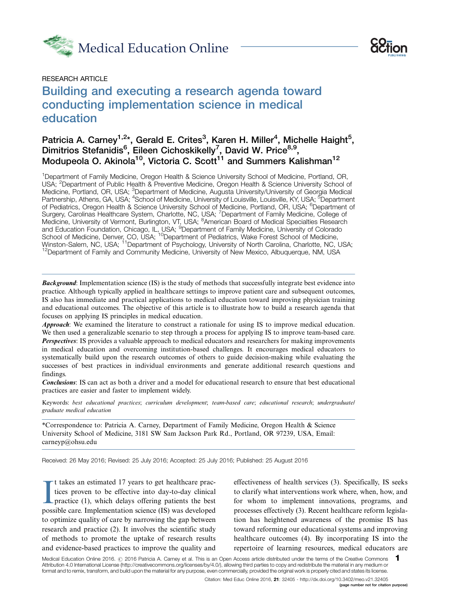



## RESEARCH ARTICLE

# Building and executing a research agenda toward conducting implementation science in medical education

## Patricia A. Carney<sup>1,2</sup>\*, Gerald E. Crites<sup>3</sup>, Karen H. Miller<sup>4</sup>, Michelle Haight<sup>5</sup>, Dimitrios Stefanidis<sup>6</sup>, Eileen Cichoskikelly<sup>7</sup>, David W. Price<sup>8,9</sup>, Modupeola O. Akinola<sup>10</sup>, Victoria C. Scott<sup>11</sup> and Summers Kalishman<sup>12</sup>

<sup>1</sup>Department of Family Medicine, Oregon Health & Science University School of Medicine, Portland, OR, USA; <sup>2</sup>Department of Public Health & Preventive Medicine, Oregon Health & Science University School of Medicine, Portland, OR, USA; <sup>3</sup>Department of Medicine, Augusta University/University of Georgia Medical<br>Partnership, Athens, GA, USA; <sup>4</sup>School of Medicine, University of Louisville, Louisville, KY, USA; <sup>5</sup>Department of Pediatrics, Oregon Health & Science University School of Medicine, Portland, OR, USA; <sup>6</sup>Department of Surgery, Carolinas Healthcare System, Charlotte, NC, USA; <sup>7</sup>Department of Family Medicine, College of<br>Medicine, University of Vermont, Burlington, VT, USA; <sup>8</sup>American Board of Medical Specialties Research<br>and Education F Winston-Salem, NC, USA; <sup>11</sup>Department of Psychology, University of North Carolina, Charlotte, NC, USA;<br><sup>12</sup>Department of Family and Community Medicine, University of New Mexico, Albuquerque, NM, USA

Background: Implementation science (IS) is the study of methods that successfully integrate best evidence into practice. Although typically applied in healthcare settings to improve patient care and subsequent outcomes, IS also has immediate and practical applications to medical education toward improving physician training and educational outcomes. The objective of this article is to illustrate how to build a research agenda that focuses on applying IS principles in medical education.

Approach: We examined the literature to construct a rationale for using IS to improve medical education. We then used a generalizable scenario to step through a process for applying IS to improve team-based care. Perspectives: IS provides a valuable approach to medical educators and researchers for making improvements in medical education and overcoming institution-based challenges. It encourages medical educators to systematically build upon the research outcomes of others to guide decision-making while evaluating the successes of best practices in individual environments and generate additional research questions and findings.

Conclusions: IS can act as both a driver and a model for educational research to ensure that best educational practices are easier and faster to implement widely.

Keywords: best educational practices; curriculum development; team-based care; educational research; undergraduate/ graduate medical education

\*Correspondence to: Patricia A. Carney, Department of Family Medicine, Oregon Health & Science University School of Medicine, 3181 SW Sam Jackson Park Rd., Portland, OR 97239, USA, Email: carneyp@ohsu.edu

Received: 26 May 2016; Revised: 25 July 2016; Accepted: 25 July 2016; Published: 25 August 2016

It takes an estimated 17 years to get healthcare practices proven to be effective into day-to-day clinical practice (1), which delays offering patients the best possible care. Implementation science (IS) was developed t takes an estimated 17 years to get healthcare practices proven to be effective into day-to-day clinical practice (1), which delays offering patients the best to optimize quality of care by narrowing the gap between research and practice (2). It involves the scientific study of methods to promote the uptake of research results and evidence-based practices to improve the quality and effectiveness of health services (3). Specifically, IS seeks to clarify what interventions work where, when, how, and for whom to implement innovations, programs, and processes effectively (3). Recent healthcare reform legislation has heightened awareness of the promise IS has toward reforming our educational systems and improving healthcare outcomes (4). By incorporating IS into the repertoire of learning resources, medical educators are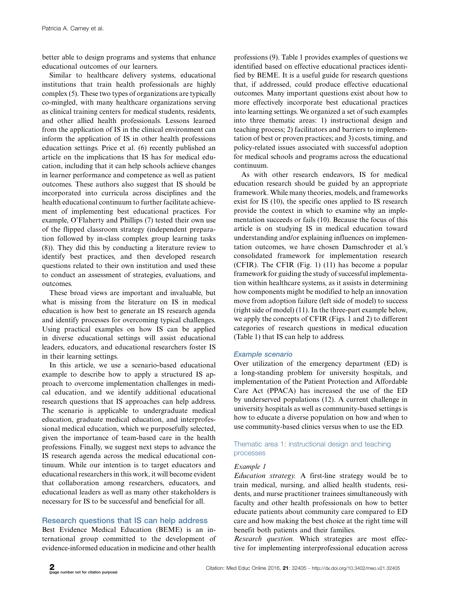better able to design programs and systems that enhance educational outcomes of our learners.

Similar to healthcare delivery systems, educational institutions that train health professionals are highly complex (5). These two types of organizations are typically co-mingled, with many healthcare organizations serving as clinical training centers for medical students, residents, and other allied health professionals. Lessons learned from the application of IS in the clinical environment can inform the application of IS in other health professions education settings. Price et al. (6) recently published an article on the implications that IS has for medical education, including that it can help schools achieve changes in learner performance and competence as well as patient outcomes. These authors also suggest that IS should be incorporated into curricula across disciplines and the health educational continuum to further facilitate achievement of implementing best educational practices. For example, O'Flaherty and Phillips (7) tested their own use of the flipped classroom strategy (independent preparation followed by in-class complex group learning tasks (8)). They did this by conducting a literature review to identify best practices, and then developed research questions related to their own institution and used these to conduct an assessment of strategies, evaluations, and outcomes.

These broad views are important and invaluable, but what is missing from the literature on IS in medical education is how best to generate an IS research agenda and identify processes for overcoming typical challenges. Using practical examples on how IS can be applied in diverse educational settings will assist educational leaders, educators, and educational researchers foster IS in their learning settings.

In this article, we use a scenario-based educational example to describe how to apply a structured IS approach to overcome implementation challenges in medical education, and we identify additional educational research questions that IS approaches can help address. The scenario is applicable to undergraduate medical education, graduate medical education, and interprofessional medical education, which we purposefully selected, given the importance of team-based care in the health professions. Finally, we suggest next steps to advance the IS research agenda across the medical educational continuum. While our intention is to target educators and educational researchers in this work, it will become evident that collaboration among researchers, educators, and educational leaders as well as many other stakeholders is necessary for IS to be successful and beneficial for all.

## Research questions that IS can help address

Best Evidence Medical Education (BEME) is an international group committed to the development of evidence-informed education in medicine and other health

professions (9). Table 1 provides examples of questions we identified based on effective educational practices identified by BEME. It is a useful guide for research questions that, if addressed, could produce effective educational outcomes. Many important questions exist about how to more effectively incorporate best educational practices into learning settings. We organized a set of such examples into three thematic areas: 1) instructional design and teaching process; 2) facilitators and barriers to implementation of best or proven practices; and 3) costs, timing, and policy-related issues associated with successful adoption for medical schools and programs across the educational continuum.

As with other research endeavors, IS for medical education research should be guided by an appropriate framework. While many theories, models, and frameworks exist for IS (10), the specific ones applied to IS research provide the context in which to examine why an implementation succeeds or fails (10). Because the focus of this article is on studying IS in medical education toward understanding and/or explaining influences on implementation outcomes, we have chosen Damschroder et al.'s consolidated framework for implementation research (CFIR). The CFIR (Fig. 1) (11) has become a popular framework for guiding the study of successful implementation within healthcare systems, as it assists in determining how components might be modified to help an innovation move from adoption failure (left side of model) to success (right side of model) (11). In the three-part example below, we apply the concepts of CFIR (Figs. 1 and 2) to different categories of research questions in medical education (Table 1) that IS can help to address.

#### Example scenario

Over utilization of the emergency department (ED) is a long-standing problem for university hospitals, and implementation of the Patient Protection and Affordable Care Act (PPACA) has increased the use of the ED by underserved populations (12). A current challenge in university hospitals as well as community-based settings is how to educate a diverse population on how and when to use community-based clinics versus when to use the ED.

## Thematic area 1: instructional design and teaching processes

#### Example 1

Education strategy. A first-line strategy would be to train medical, nursing, and allied health students, residents, and nurse practitioner trainees simultaneously with faculty and other health professionals on how to better educate patients about community care compared to ED care and how making the best choice at the right time will benefit both patients and their families.

Research question. Which strategies are most effective for implementing interprofessional education across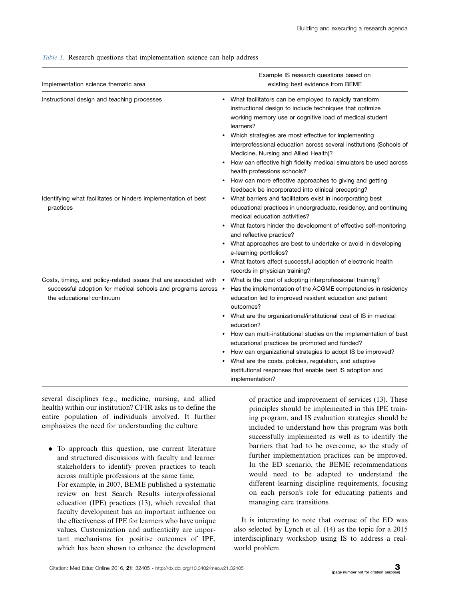|  |  | <i>Table 1.</i> Research questions that implementation science can help address |  |  |
|--|--|---------------------------------------------------------------------------------|--|--|
|  |  |                                                                                 |  |  |

| Implementation science thematic area                                                                                                                              | Example IS research questions based on<br>existing best evidence from BEME                                                                                                                                                                                                                                                                                                                                                                                                                                                                                                                                                    |
|-------------------------------------------------------------------------------------------------------------------------------------------------------------------|-------------------------------------------------------------------------------------------------------------------------------------------------------------------------------------------------------------------------------------------------------------------------------------------------------------------------------------------------------------------------------------------------------------------------------------------------------------------------------------------------------------------------------------------------------------------------------------------------------------------------------|
| Instructional design and teaching processes                                                                                                                       | What facilitators can be employed to rapidly transform<br>instructional design to include techniques that optimize<br>working memory use or cognitive load of medical student<br>learners?<br>Which strategies are most effective for implementing<br>interprofessional education across several institutions (Schools of<br>Medicine, Nursing and Allied Health)?<br>How can effective high fidelity medical simulators be used across<br>health professions schools?<br>How can more effective approaches to giving and getting<br>feedback be incorporated into clinical precepting?                                       |
| Identifying what facilitates or hinders implementation of best<br>practices                                                                                       | What barriers and facilitators exist in incorporating best<br>educational practices in undergraduate, residency, and continuing<br>medical education activities?<br>What factors hinder the development of effective self-monitoring<br>and reflective practice?<br>What approaches are best to undertake or avoid in developing<br>e-learning portfolios?<br>What factors affect successful adoption of electronic health<br>records in physician training?                                                                                                                                                                  |
| Costs, timing, and policy-related issues that are associated with •<br>successful adoption for medical schools and programs across .<br>the educational continuum | What is the cost of adopting interprofessional training?<br>Has the implementation of the ACGME competencies in residency<br>education led to improved resident education and patient<br>outcomes?<br>What are the organizational/institutional cost of IS in medical<br>$\bullet$<br>education?<br>How can multi-institutional studies on the implementation of best<br>educational practices be promoted and funded?<br>How can organizational strategies to adopt IS be improved?<br>What are the costs, policies, regulation, and adaptive<br>institutional responses that enable best IS adoption and<br>implementation? |

several disciplines (e.g., medicine, nursing, and allied health) within our institution? CFIR asks us to define the entire population of individuals involved. It further emphasizes the need for understanding the culture.

. To approach this question, use current literature and structured discussions with faculty and learner stakeholders to identify proven practices to teach across multiple professions at the same time. For example, in 2007, BEME published a systematic review on best Search Results interprofessional education (IPE) practices (13), which revealed that faculty development has an important influence on the effectiveness of IPE for learners who have unique values. Customization and authenticity are important mechanisms for positive outcomes of IPE, which has been shown to enhance the development

of practice and improvement of services (13). These principles should be implemented in this IPE training program, and IS evaluation strategies should be included to understand how this program was both successfully implemented as well as to identify the barriers that had to be overcome, so the study of further implementation practices can be improved. In the ED scenario, the BEME recommendations would need to be adapted to understand the different learning discipline requirements, focusing on each person's role for educating patients and managing care transitions.

It is interesting to note that overuse of the ED was also selected by Lynch et al. (14) as the topic for a 2015 interdisciplinary workshop using IS to address a realworld problem.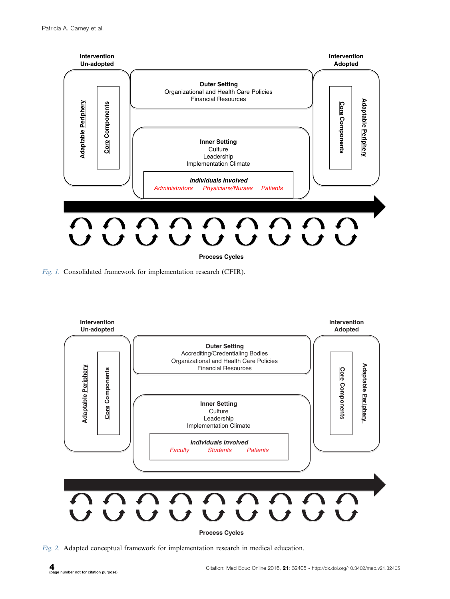





Fig. 2. Adapted conceptual framework for implementation research in medical education.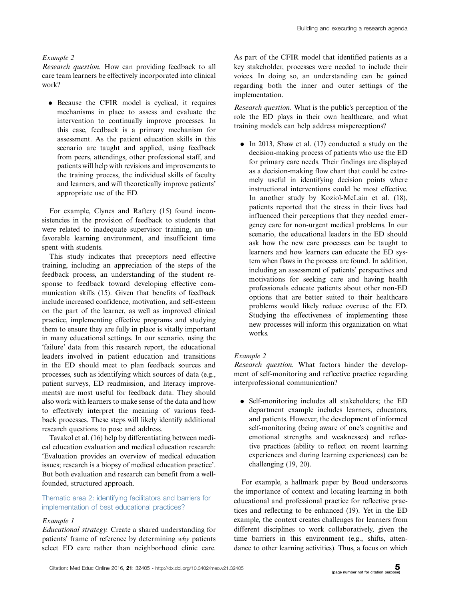## Example 2

Research question. How can providing feedback to all care team learners be effectively incorporated into clinical work?

. Because the CFIR model is cyclical, it requires mechanisms in place to assess and evaluate the intervention to continually improve processes. In this case, feedback is a primary mechanism for assessment. As the patient education skills in this scenario are taught and applied, using feedback from peers, attendings, other professional staff, and patients will help with revisions and improvements to the training process, the individual skills of faculty and learners, and will theoretically improve patients' appropriate use of the ED.

For example, Clynes and Raftery (15) found inconsistencies in the provision of feedback to students that were related to inadequate supervisor training, an unfavorable learning environment, and insufficient time spent with students.

This study indicates that preceptors need effective training, including an appreciation of the steps of the feedback process, an understanding of the student response to feedback toward developing effective communication skills (15). Given that benefits of feedback include increased confidence, motivation, and self-esteem on the part of the learner, as well as improved clinical practice, implementing effective programs and studying them to ensure they are fully in place is vitally important in many educational settings. In our scenario, using the 'failure' data from this research report, the educational leaders involved in patient education and transitions in the ED should meet to plan feedback sources and processes, such as identifying which sources of data (e.g., patient surveys, ED readmission, and literacy improvements) are most useful for feedback data. They should also work with learners to make sense of the data and how to effectively interpret the meaning of various feedback processes. These steps will likely identify additional research questions to pose and address.

Tavakol et al. (16) help by differentiating between medical education evaluation and medical education research: 'Evaluation provides an overview of medical education issues; research is a biopsy of medical education practice'. But both evaluation and research can benefit from a wellfounded, structured approach.

## Thematic area 2: identifying facilitators and barriers for implementation of best educational practices?

#### Example 1

Educational strategy. Create a shared understanding for patients' frame of reference by determining why patients select ED care rather than neighborhood clinic care.

As part of the CFIR model that identified patients as a key stakeholder, processes were needed to include their voices. In doing so, an understanding can be gained regarding both the inner and outer settings of the implementation.

Research question. What is the public's perception of the role the ED plays in their own healthcare, and what training models can help address misperceptions?

. In 2013, Shaw et al. (17) conducted a study on the decision-making process of patients who use the ED for primary care needs. Their findings are displayed as a decision-making flow chart that could be extremely useful in identifying decision points where instructional interventions could be most effective. In another study by Koziol-McLain et al. (18), patients reported that the stress in their lives had influenced their perceptions that they needed emergency care for non-urgent medical problems. In our scenario, the educational leaders in the ED should ask how the new care processes can be taught to learners and how learners can educate the ED system when flaws in the process are found. In addition, including an assessment of patients' perspectives and motivations for seeking care and having health professionals educate patients about other non-ED options that are better suited to their healthcare problems would likely reduce overuse of the ED. Studying the effectiveness of implementing these new processes will inform this organization on what works.

## Example 2

Research question. What factors hinder the development of self-monitoring and reflective practice regarding interprofessional communication?

. Self-monitoring includes all stakeholders; the ED department example includes learners, educators, and patients. However, the development of informed self-monitoring (being aware of one's cognitive and emotional strengths and weaknesses) and reflective practices (ability to reflect on recent learning experiences and during learning experiences) can be challenging (19, 20).

For example, a hallmark paper by Boud underscores the importance of context and locating learning in both educational and professional practice for reflective practices and reflecting to be enhanced (19). Yet in the ED example, the context creates challenges for learners from different disciplines to work collaboratively, given the time barriers in this environment (e.g., shifts, attendance to other learning activities). Thus, a focus on which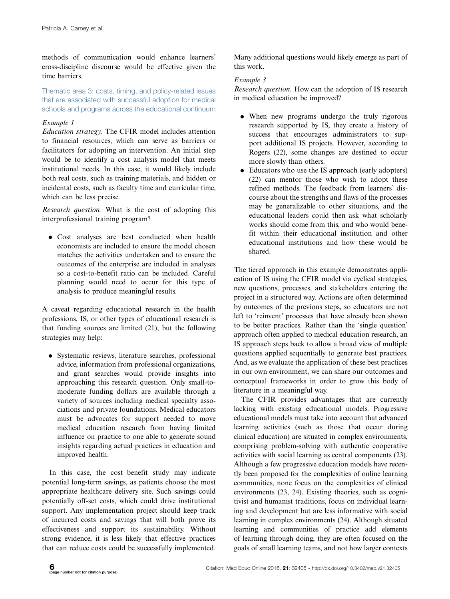methods of communication would enhance learners' cross-discipline discourse would be effective given the time barriers.

Thematic area 3: costs, timing, and policy-related issues that are associated with successful adoption for medical schools and programs across the educational continuum

## Example 1

Education strategy. The CFIR model includes attention to financial resources, which can serve as barriers or facilitators for adopting an intervention. An initial step would be to identify a cost analysis model that meets institutional needs. In this case, it would likely include both real costs, such as training materials, and hidden or incidental costs, such as faculty time and curricular time, which can be less precise.

Research question. What is the cost of adopting this interprofessional training program?

. Cost analyses are best conducted when health economists are included to ensure the model chosen matches the activities undertaken and to ensure the outcomes of the enterprise are included in analyses so a cost-to-benefit ratio can be included. Careful planning would need to occur for this type of analysis to produce meaningful results.

A caveat regarding educational research in the health professions, IS, or other types of educational research is that funding sources are limited (21), but the following strategies may help:

. Systematic reviews, literature searches, professional advice, information from professional organizations, and grant searches would provide insights into approaching this research question. Only small-tomoderate funding dollars are available through a variety of sources including medical specialty associations and private foundations. Medical educators must be advocates for support needed to move medical education research from having limited influence on practice to one able to generate sound insights regarding actual practices in education and improved health.

In this case, the cost-benefit study may indicate potential long-term savings, as patients choose the most appropriate healthcare delivery site. Such savings could potentially off-set costs, which could drive institutional support. Any implementation project should keep track of incurred costs and savings that will both prove its effectiveness and support its sustainability. Without strong evidence, it is less likely that effective practices that can reduce costs could be successfully implemented.

Many additional questions would likely emerge as part of this work.

## Example 3

Research question. How can the adoption of IS research in medical education be improved?

- . When new programs undergo the truly rigorous research supported by IS, they create a history of success that encourages administrators to support additional IS projects. However, according to Rogers (22), some changes are destined to occur more slowly than others.
- . Educators who use the IS approach (early adopters) (22) can mentor those who wish to adopt these refined methods. The feedback from learners' discourse about the strengths and flaws of the processes may be generalizable to other situations, and the educational leaders could then ask what scholarly works should come from this, and who would benefit within their educational institution and other educational institutions and how these would be shared.

The tiered approach in this example demonstrates application of IS using the CFIR model via cyclical strategies, new questions, processes, and stakeholders entering the project in a structured way. Actions are often determined by outcomes of the previous steps, so educators are not left to 'reinvent' processes that have already been shown to be better practices. Rather than the 'single question' approach often applied to medical education research, an IS approach steps back to allow a broad view of multiple questions applied sequentially to generate best practices. And, as we evaluate the application of these best practices in our own environment, we can share our outcomes and conceptual frameworks in order to grow this body of literature in a meaningful way.

The CFIR provides advantages that are currently lacking with existing educational models. Progressive educational models must take into account that advanced learning activities (such as those that occur during clinical education) are situated in complex environments, comprising problem-solving with authentic cooperative activities with social learning as central components (23). Although a few progressive education models have recently been proposed for the complexities of online learning communities, none focus on the complexities of clinical environments (23, 24). Existing theories, such as cognitivist and humanist traditions, focus on individual learning and development but are less informative with social learning in complex environments (24). Although situated learning and communities of practice add elements of learning through doing, they are often focused on the goals of small learning teams, and not how larger contexts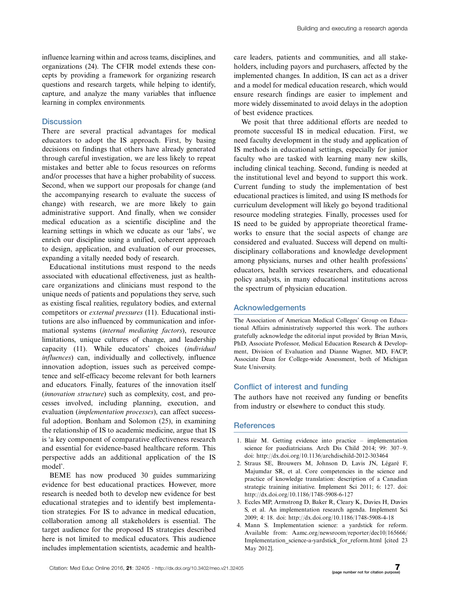influence learning within and across teams, disciplines, and organizations (24). The CFIR model extends these concepts by providing a framework for organizing research questions and research targets, while helping to identify, capture, and analyze the many variables that influence learning in complex environments.

## **Discussion**

There are several practical advantages for medical educators to adopt the IS approach. First, by basing decisions on findings that others have already generated through careful investigation, we are less likely to repeat mistakes and better able to focus resources on reforms and/or processes that have a higher probability of success. Second, when we support our proposals for change (and the accompanying research to evaluate the success of change) with research, we are more likely to gain administrative support. And finally, when we consider medical education as a scientific discipline and the learning settings in which we educate as our 'labs', we enrich our discipline using a unified, coherent approach to design, application, and evaluation of our processes, expanding a vitally needed body of research.

Educational institutions must respond to the needs associated with educational effectiveness, just as healthcare organizations and clinicians must respond to the unique needs of patients and populations they serve, such as existing fiscal realities, regulatory bodies, and external competitors or external pressures (11). Educational institutions are also influenced by communication and informational systems (internal mediating factors), resource limitations, unique cultures of change, and leadership capacity (11). While educators' choices (individual influences) can, individually and collectively, influence innovation adoption, issues such as perceived competence and self-efficacy become relevant for both learners and educators. Finally, features of the innovation itself (innovation structure) such as complexity, cost, and processes involved, including planning, execution, and evaluation (implementation processes), can affect successful adoption. Bonham and Solomon (25), in examining the relationship of IS to academic medicine, argue that IS is 'a key component of comparative effectiveness research and essential for evidence-based healthcare reform. This perspective adds an additional application of the IS model'.

BEME has now produced 30 guides summarizing evidence for best educational practices. However, more research is needed both to develop new evidence for best educational strategies and to identify best implementation strategies. For IS to advance in medical education, collaboration among all stakeholders is essential. The target audience for the proposed IS strategies described here is not limited to medical educators. This audience includes implementation scientists, academic and healthcare leaders, patients and communities, and all stakeholders, including payors and purchasers, affected by the implemented changes. In addition, IS can act as a driver and a model for medical education research, which would ensure research findings are easier to implement and more widely disseminated to avoid delays in the adoption of best evidence practices.

We posit that three additional efforts are needed to promote successful IS in medical education. First, we need faculty development in the study and application of IS methods in educational settings, especially for junior faculty who are tasked with learning many new skills, including clinical teaching. Second, funding is needed at the institutional level and beyond to support this work. Current funding to study the implementation of best educational practices is limited, and using IS methods for curriculum development will likely go beyond traditional resource modeling strategies. Finally, processes used for IS need to be guided by appropriate theoretical frameworks to ensure that the social aspects of change are considered and evaluated. Success will depend on multidisciplinary collaborations and knowledge development among physicians, nurses and other health professions' educators, health services researchers, and educational policy analysts, in many educational institutions across the spectrum of physician education.

#### Acknowledgements

The Association of American Medical Colleges' Group on Educational Affairs administratively supported this work. The authors gratefully acknowledge the editorial input provided by Brian Mavis, PhD, Associate Professor, Medical Education Research & Development, Division of Evaluation and Dianne Wagner, MD, FACP, Associate Dean for College-wide Assessment, both of Michigan State University.

#### Conflict of interest and funding

The authors have not received any funding or benefits from industry or elsewhere to conduct this study.

#### **References**

- 1. Blair M. Getting evidence into practice implementation science for paediatricians. Arch Dis Child 2014; 99: 307-9. doi:<http://dx.doi.org/10.1136/archdischild-2012-303464>
- 2. Straus SE, Brouwers M, Johnson D, Lavis JN, Légaré F, Majumdar SR, et al. Core competencies in the science and practice of knowledge translation: description of a Canadian strategic training initiative. Implement Sci 2011; 6: 127. doi: <http://dx.doi.org/10.1186/1748-5908-6-127>
- 3. Eccles MP, Armstrong D, Baker R, Cleary K, Davies H, Davies S, et al. An implementation research agenda. Implement Sci 2009; 4: 18. doi:<http://dx.doi.org/10.1186/1748-5908-4-18>
- 4. Mann S. Implementation science: a yardstick for reform. Available from: [Aamc.org/newsroom/reporter/dec10/165666/](http://Aamc.org/newsroom/reporter/dec10/165666/Implementation_science-a-yardstick_for_reform.html) Implementation science-a-yardstick for reform.html [cited 23 May 2012].